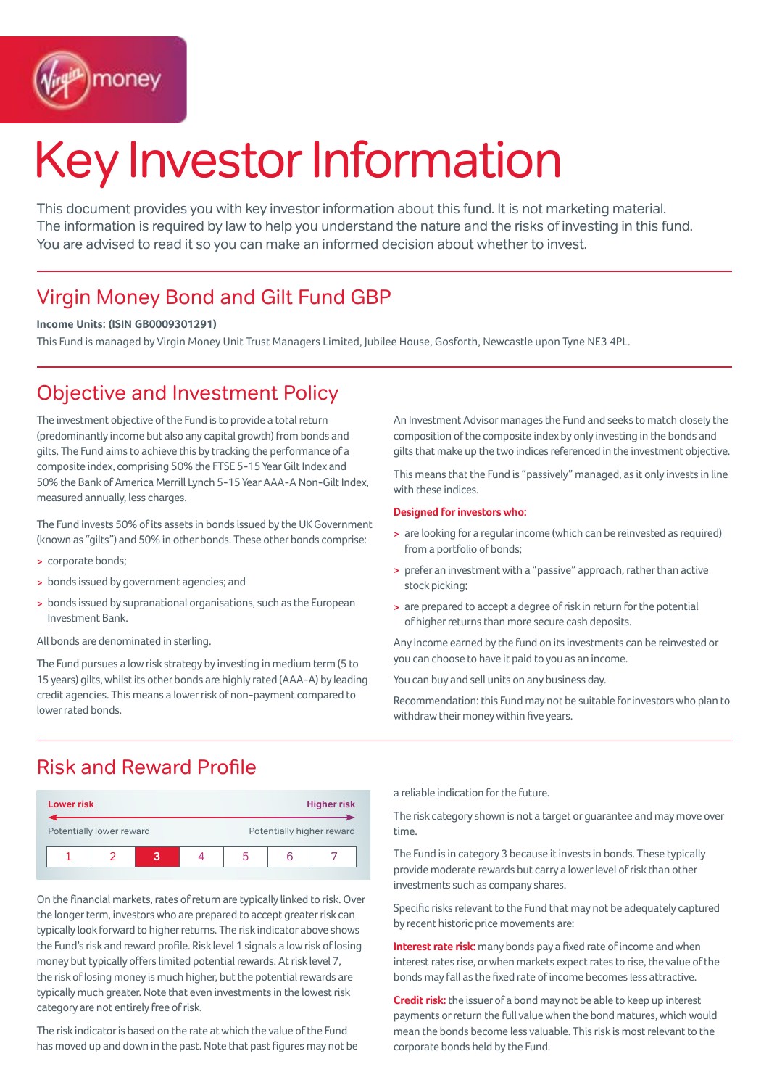

# Key Investor Information

This document provides you with key investor information about this fund. It is not marketing material. The information is required by law to help you understand the nature and the risks of investing in this fund. You are advised to read it so you can make an informed decision about whether to invest.

## Virgin Money Bond and Gilt Fund GBP

### **Income Units: (ISIN GB0009301291)**

This Fund is managed by Virgin Money Unit Trust Managers Limited, Jubilee House, Gosforth, Newcastle upon Tyne NE3 4PL.

## Objective and Investment Policy

The investment objective of the Fund is to provide a total return (predominantly income but also any capital growth) from bonds and gilts. The Fund aims to achieve this by tracking the performance of a composite index, comprising 50% the FTSE 5-15 Year Gilt Index and 50% the Bank of America Merrill Lynch 5-15 Year AAA-A Non-Gilt Index, measured annually, less charges.

The Fund invests 50% of its assets in bonds issued by the UK Government (known as "gilts") and 50% in other bonds. These other bonds comprise:

- > corporate bonds;
- > bonds issued by government agencies; and
- > bonds issued by supranational organisations, such as the European Investment Bank.

All bonds are denominated in sterling.

The Fund pursues a low risk strategy by investing in medium term (5 to 15 years) gilts, whilst its other bonds are highly rated (AAA-A) by leading credit agencies. This means a lower risk of non-payment compared to lower rated bonds.

An Investment Advisor manages the Fund and seeks to match closely the composition of the composite index by only investing in the bonds and gilts that make up the two indices referenced in the investment objective.

This means that the Fund is "passively" managed, as it only invests in line with these indices.

#### **Designed for investors who:**

- > are looking for a regular income (which can be reinvested as required) from a portfolio of bonds;
- > prefer an investment with a "passive" approach, rather than active stock picking;
- > are prepared to accept a degree of risk in return for the potential of higher returns than more secure cash deposits.

Any income earned by the fund on its investments can be reinvested or you can choose to have it paid to you as an income.

You can buy and sell units on any business day.

Recommendation: this Fund may not be suitable for investors who plan to withdraw their money within five years.

## Risk and Reward Profile

| <b>Lower risk</b>        |  |  |  | <b>Higher risk</b>        |  |  |  |
|--------------------------|--|--|--|---------------------------|--|--|--|
| Potentially lower reward |  |  |  | Potentially higher reward |  |  |  |
|                          |  |  |  |                           |  |  |  |

On the financial markets, rates of return are typically linked to risk. Over the longer term, investors who are prepared to accept greater risk can typically look forward to higher returns. The risk indicator above shows the Fund's risk and reward profile. Risk level 1 signals a low risk of losing money but typically offers limited potential rewards. At risk level 7, the risk of losing money is much higher, but the potential rewards are typically much greater. Note that even investments in the lowest risk category are not entirely free of risk.

The risk indicator is based on the rate at which the value of the Fund has moved up and down in the past. Note that past figures may not be a reliable indication for the future.

The risk category shown is not a target or guarantee and may move over time.

The Fund is in category 3 because it invests in bonds. These typically provide moderate rewards but carry a lower level of risk than other investments such as company shares.

Specific risks relevant to the Fund that may not be adequately captured by recent historic price movements are:

**Interest rate risk:** many bonds pay a fixed rate of income and when interest rates rise, or when markets expect rates to rise, the value of the bonds may fall as the fixed rate of income becomes less attractive.

**Credit risk:** the issuer of a bond may not be able to keep up interest payments or return the full value when the bond matures, which would mean the bonds become less valuable. This risk is most relevant to the corporate bonds held by the Fund.